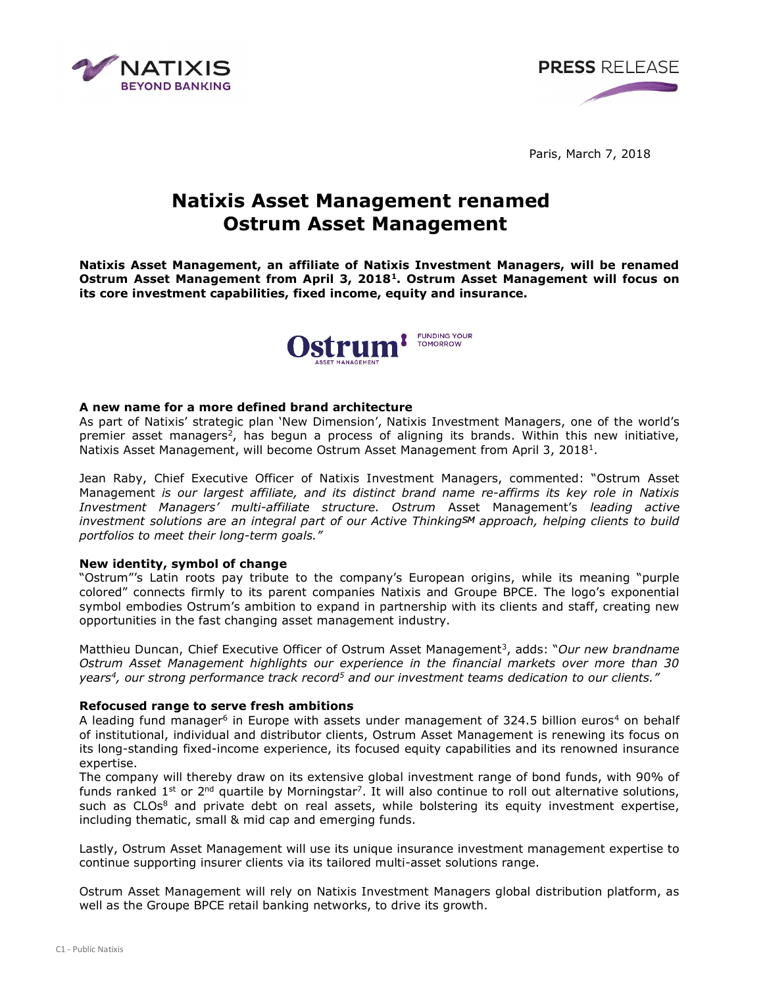



Paris, March 7, 2018

# Natixis Asset Management renamed Ostrum Asset Management

Natixis Asset Management, an affiliate of Natixis Investment Managers, will be renamed Ostrum Asset Management from April 3, 2018<sup>1</sup>. Ostrum Asset Management will focus on its core investment capabilities, fixed income, equity and insurance.



## A new name for a more defined brand architecture

As part of Natixis' strategic plan 'New Dimension', Natixis Investment Managers, one of the world's premier asset managers<sup>2</sup>, has begun a process of aligning its brands. Within this new initiative, Natixis Asset Management, will become Ostrum Asset Management from April 3, 2018<sup>1</sup>.

Jean Raby, Chief Executive Officer of Natixis Investment Managers, commented: "Ostrum Asset Management is our largest affiliate, and its distinct brand name re-affirms its key role in Natixis Investment Managers' multi-affiliate structure. Ostrum Asset Management's leading active investment solutions are an integral part of our Active ThinkingSM approach, helping clients to build portfolios to meet their long-term goals."

## New identity, symbol of change

"Ostrum"'s Latin roots pay tribute to the company's European origins, while its meaning "purple colored" connects firmly to its parent companies Natixis and Groupe BPCE. The logo's exponential symbol embodies Ostrum's ambition to expand in partnership with its clients and staff, creating new opportunities in the fast changing asset management industry.

Matthieu Duncan, Chief Executive Officer of Ostrum Asset Management<sup>3</sup>, adds: "Our new brandname Ostrum Asset Management highlights our experience in the financial markets over more than 30 years<sup>4</sup>, our strong performance track record<sup>5</sup> and our investment teams dedication to our clients."

# Refocused range to serve fresh ambitions

A leading fund manager<sup>6</sup> in Europe with assets under management of 324.5 billion euros<sup>4</sup> on behalf of institutional, individual and distributor clients, Ostrum Asset Management is renewing its focus on its long-standing fixed-income experience, its focused equity capabilities and its renowned insurance expertise.

The company will thereby draw on its extensive global investment range of bond funds, with 90% of funds ranked 1<sup>st</sup> or 2<sup>nd</sup> quartile by Morningstar<sup>7</sup>. It will also continue to roll out alternative solutions, such as CLOs<sup>8</sup> and private debt on real assets, while bolstering its equity investment expertise, including thematic, small & mid cap and emerging funds.

Lastly, Ostrum Asset Management will use its unique insurance investment management expertise to continue supporting insurer clients via its tailored multi-asset solutions range.

Ostrum Asset Management will rely on Natixis Investment Managers global distribution platform, as well as the Groupe BPCE retail banking networks, to drive its growth.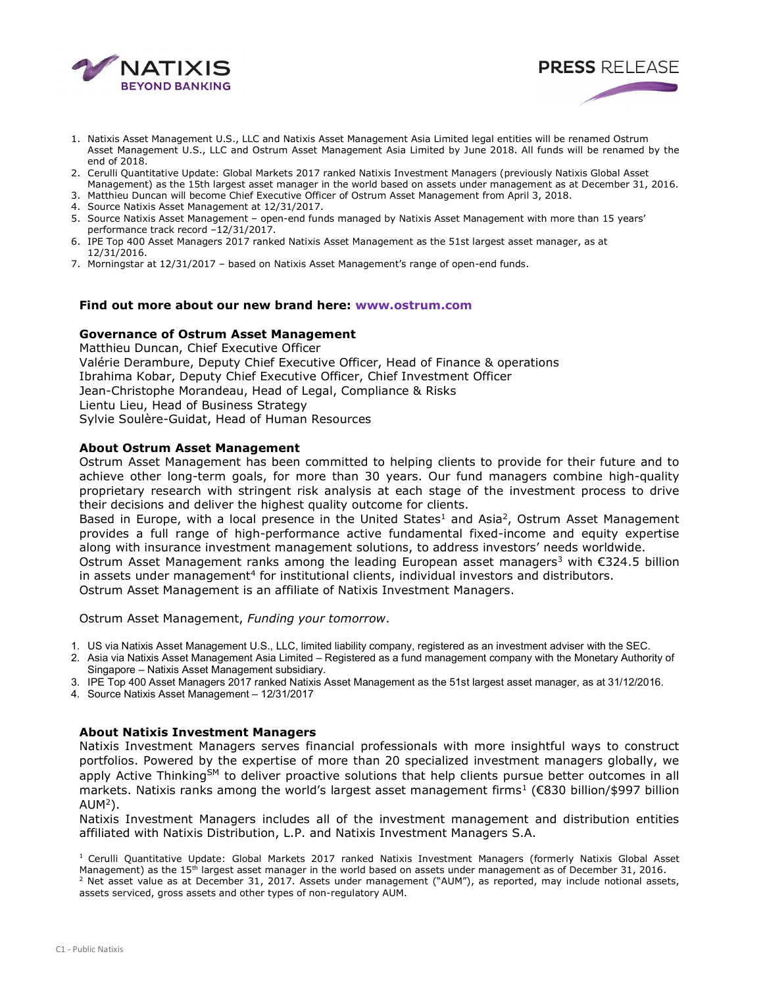

1. Natixis Asset Management U.S., LLC and Natixis Asset Management Asia Limited legal entities will be renamed Ostrum Asset Management U.S., LLC and Ostrum Asset Management Asia Limited by June 2018. All funds will be renamed by the end of 2018.

**PRESS RELEASE** 

- 2. Cerulli Quantitative Update: Global Markets 2017 ranked Natixis Investment Managers (previously Natixis Global Asset Management) as the 15th largest asset manager in the world based on assets under management as at December 31, 2016.
- 3. Matthieu Duncan will become Chief Executive Officer of Ostrum Asset Management from April 3, 2018.
- 4. Source Natixis Asset Management at 12/31/2017.
- 5. Source Natixis Asset Management open-end funds managed by Natixis Asset Management with more than 15 years' performance track record –12/31/2017.
- 6. IPE Top 400 Asset Managers 2017 ranked Natixis Asset Management as the 51st largest asset manager, as at 12/31/2016.
- 7. Morningstar at 12/31/2017 based on Natixis Asset Management's range of open-end funds.

#### Find out more about our new brand here: www.ostrum.com

#### Governance of Ostrum Asset Management

Matthieu Duncan, Chief Executive Officer Valérie Derambure, Deputy Chief Executive Officer, Head of Finance & operations Ibrahima Kobar, Deputy Chief Executive Officer, Chief Investment Officer Jean-Christophe Morandeau, Head of Legal, Compliance & Risks Lientu Lieu, Head of Business Strategy Sylvie Soulère-Guidat, Head of Human Resources

## About Ostrum Asset Management

Ostrum Asset Management has been committed to helping clients to provide for their future and to achieve other long-term goals, for more than 30 years. Our fund managers combine high-quality proprietary research with stringent risk analysis at each stage of the investment process to drive their decisions and deliver the highest quality outcome for clients.

Based in Europe, with a local presence in the United States<sup>1</sup> and Asia<sup>2</sup>, Ostrum Asset Management provides a full range of high-performance active fundamental fixed-income and equity expertise along with insurance investment management solutions, to address investors' needs worldwide.

Ostrum Asset Management ranks among the leading European asset managers<sup>3</sup> with  $\epsilon$ 324.5 billion in assets under management<sup>4</sup> for institutional clients, individual investors and distributors.

Ostrum Asset Management is an affiliate of Natixis Investment Managers.

Ostrum Asset Management, Funding your tomorrow.

1. US via Natixis Asset Management U.S., LLC, limited liability company, registered as an investment adviser with the SEC.

- 2. Asia via Natixis Asset Management Asia Limited Registered as a fund management company with the Monetary Authority of Singapore – Natixis Asset Management subsidiary.
- 3. IPE Top 400 Asset Managers 2017 ranked Natixis Asset Management as the 51st largest asset manager, as at 31/12/2016.

4. Source Natixis Asset Management – 12/31/2017

#### About Natixis Investment Managers

Natixis Investment Managers serves financial professionals with more insightful ways to construct portfolios. Powered by the expertise of more than 20 specialized investment managers globally, we apply Active Thinking<sup>SM</sup> to deliver proactive solutions that help clients pursue better outcomes in all markets. Natixis ranks among the world's largest asset management firms<sup>1</sup> (€830 billion/\$997 billion  $AUM<sup>2</sup>$ ).

Natixis Investment Managers includes all of the investment management and distribution entities affiliated with Natixis Distribution, L.P. and Natixis Investment Managers S.A.

 $1$  Cerulli Quantitative Update: Global Markets 2017 ranked Natixis Investment Managers (formerly Natixis Global Asset Management) as the 15<sup>th</sup> largest asset manager in the world based on assets under management as of December 31, 2016.

<sup>&</sup>lt;sup>2</sup> Net asset value as at December 31, 2017. Assets under management ("AUM"), as reported, may include notional assets, assets serviced, gross assets and other types of non-regulatory AUM.